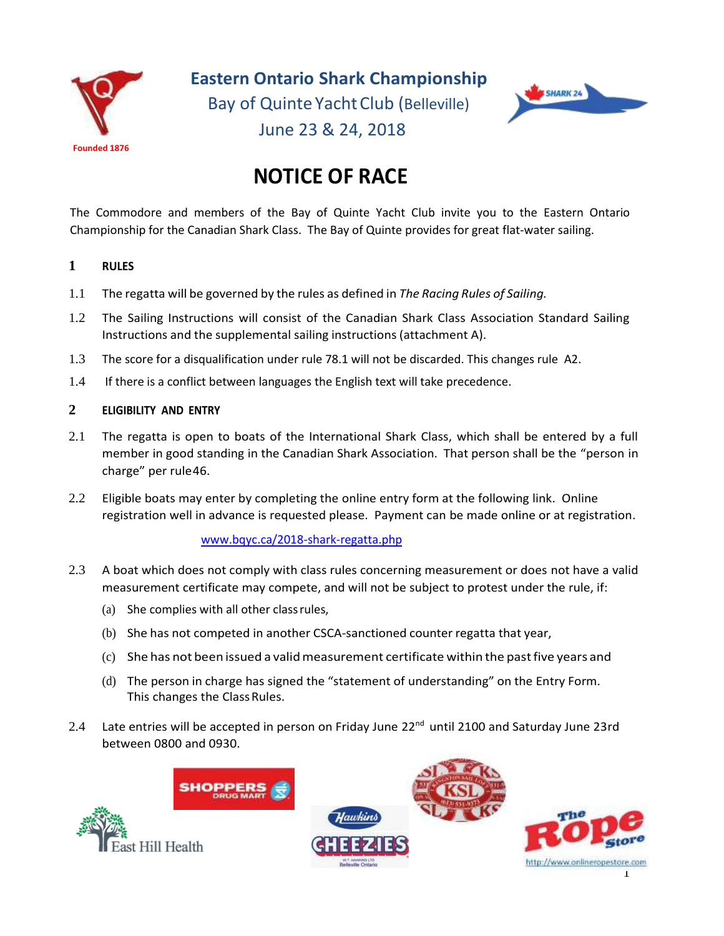

 **Eastern Ontario Shark Championship** Bay of Quinte YachtClub (Belleville)



# June 23 & 24, 2018

# **NOTICE OF RACE**

The Commodore and members of the Bay of Quinte Yacht Club invite you to the Eastern Ontario Championship for the Canadian Shark Class. The Bay of Quinte provides for great flat-water sailing.

# **1 RULES**

- 1.1 The regatta will be governed by the rules as defined in *The Racing Rules of Sailing.*
- 1.2 The Sailing Instructions will consist of the Canadian Shark Class Association Standard Sailing Instructions and the supplemental sailing instructions (attachment A).
- 1.3 The score for a disqualification under rule 78.1 will not be discarded. This changes rule A2.
- 1.4 If there is a conflict between languages the English text will take precedence.

# **2 ELIGIBILITY AND ENTRY**

- 2.1 The regatta is open to boats of the International Shark Class, which shall be entered by a full member in good standing in the Canadian Shark Association. That person shall be the "person in charge" per rule46.
- 2.2 Eligible boats may enter by completing the online entry form at the following link. Online registration well in advance is requested please. Payment can be made online or at registration.

# [www.bqyc.ca/2018-shark-regatta.php](http://www.bqyc.ca/2018-shark-regatta.php)

- 2.3 A boat which does not comply with class rules concerning measurement or does not have a valid measurement certificate may compete, and will not be subject to protest under the rule, if:
	- (a) She complies with all other classrules,
	- (b) She has not competed in another CSCA-sanctioned counter regatta that year,
	- (c) She has not been issued a validmeasurement certificate within the pastfive years and
	- (d) The person in charge has signed the "statement of understanding" on the Entry Form. This changes the Class Rules.
- 2.4 Late entries will be accepted in person on Friday June 22<sup>nd</sup> until 2100 and Saturday June 23rd between 0800 and 0930.

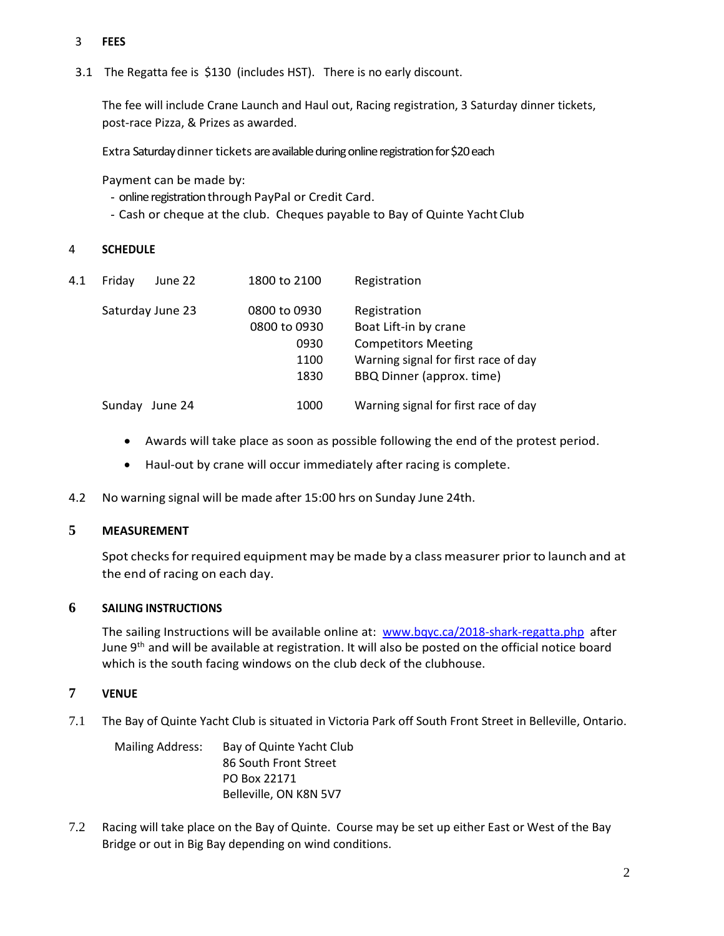# 3 **FEES**

3.1 The Regatta fee is \$130 (includes HST). There is no early discount.

The fee will include Crane Launch and Haul out, Racing registration, 3 Saturday dinner tickets, post-race Pizza, & Prizes as awarded.

Extra Saturday dinner tickets are available during online registrationfor \$20 each

Payment can be made by:

- online registration through PayPal or Credit Card.
- Cash or cheque at the club. Cheques payable to Bay of Quinte Yacht Club

#### 4 **SCHEDULE**

| 4.1 | Fridav | June 22          | 1800 to 2100 | Registration                         |
|-----|--------|------------------|--------------|--------------------------------------|
|     |        | Saturday June 23 | 0800 to 0930 | Registration                         |
|     |        |                  | 0800 to 0930 | Boat Lift-in by crane                |
|     |        |                  | 0930         | <b>Competitors Meeting</b>           |
|     |        |                  | 1100         | Warning signal for first race of day |
|     |        |                  | 1830         | BBQ Dinner (approx. time)            |
|     | Sunday | June 24          | 1000         | Warning signal for first race of day |

- Awards will take place as soon as possible following the end of the protest period.
- Haul-out by crane will occur immediately after racing is complete.
- 4.2 No warning signal will be made after 15:00 hrs on Sunday June 24th.

#### **5 MEASUREMENT**

Spot checks for required equipment may be made by a class measurer prior to launch and at the end of racing on each day.

#### **6 SAILING INSTRUCTIONS**

The sailing Instructions will be available online at: [www.bqyc.ca/2018-shark-regatta.php](http://www.bqyc.ca/2018-shark-regatta.php) after June 9<sup>th</sup> and will be available at registration. It will also be posted on the official notice board which is the south facing windows on the club deck of the clubhouse.

#### **7 VENUE**

7.1 The Bay of Quinte Yacht Club is situated in Victoria Park off South Front Street in Belleville, Ontario.

Mailing Address: Bay of Quinte Yacht Club 86 South Front Street PO Box 22171 Belleville, ON K8N 5V7

7.2 Racing will take place on the Bay of Quinte. Course may be set up either East or West of the Bay Bridge or out in Big Bay depending on wind conditions.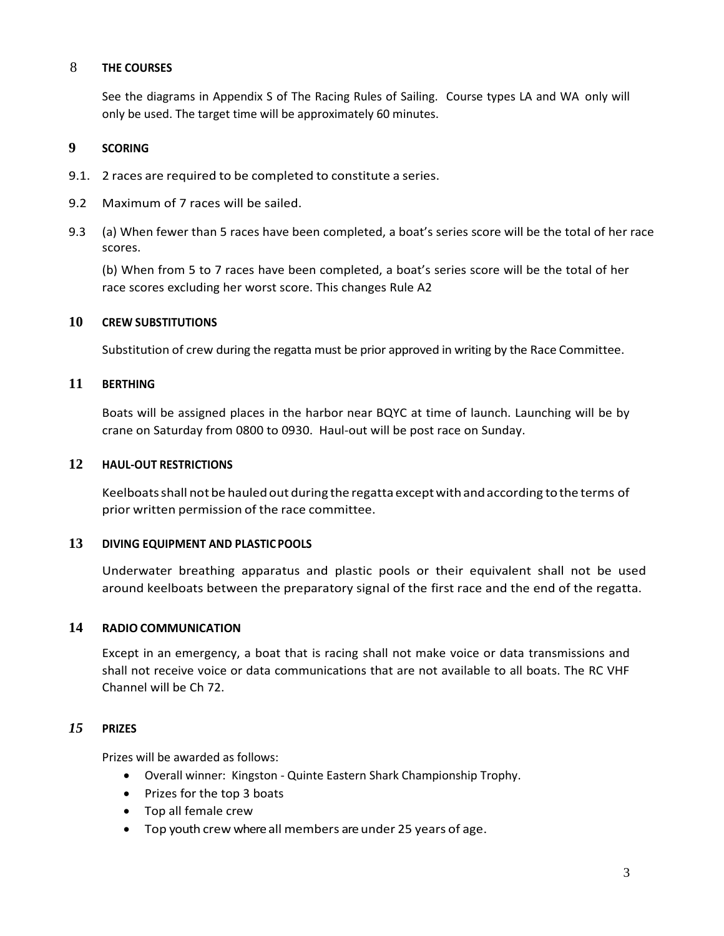#### 8 **THE COURSES**

See the diagrams in Appendix S of The Racing Rules of Sailing. Course types LA and WA only will only be used. The target time will be approximately 60 minutes.

#### **9 SCORING**

- 9.1. 2 races are required to be completed to constitute a series.
- 9.2 Maximum of 7 races will be sailed.
- 9.3 (a) When fewer than 5 races have been completed, a boat's series score will be the total of her race scores.

(b) When from 5 to 7 races have been completed, a boat's series score will be the total of her race scores excluding her worst score. This changes Rule A2

# **10 CREW SUBSTITUTIONS**

Substitution of crew during the regatta must be prior approved in writing by the Race Committee.

# **11 BERTHING**

Boats will be assigned places in the harbor near BQYC at time of launch. Launching will be by crane on Saturday from 0800 to 0930. Haul-out will be post race on Sunday.

#### **12 HAUL-OUT RESTRICTIONS**

Keelboats shall not be hauled out during the regatta except with and according to the terms of prior written permission of the race committee.

#### **13 DIVING EQUIPMENT AND PLASTIC POOLS**

Underwater breathing apparatus and plastic pools or their equivalent shall not be used around keelboats between the preparatory signal of the first race and the end of the regatta.

#### **14 RADIO COMMUNICATION**

Except in an emergency, a boat that is racing shall not make voice or data transmissions and shall not receive voice or data communications that are not available to all boats. The RC VHF Channel will be Ch 72.

#### *15* **PRIZES**

Prizes will be awarded as follows:

- Overall winner: Kingston Quinte Eastern Shark Championship Trophy.
- Prizes for the top 3 boats
- Top all female crew
- Top youth crew where all members are under 25 years of age.